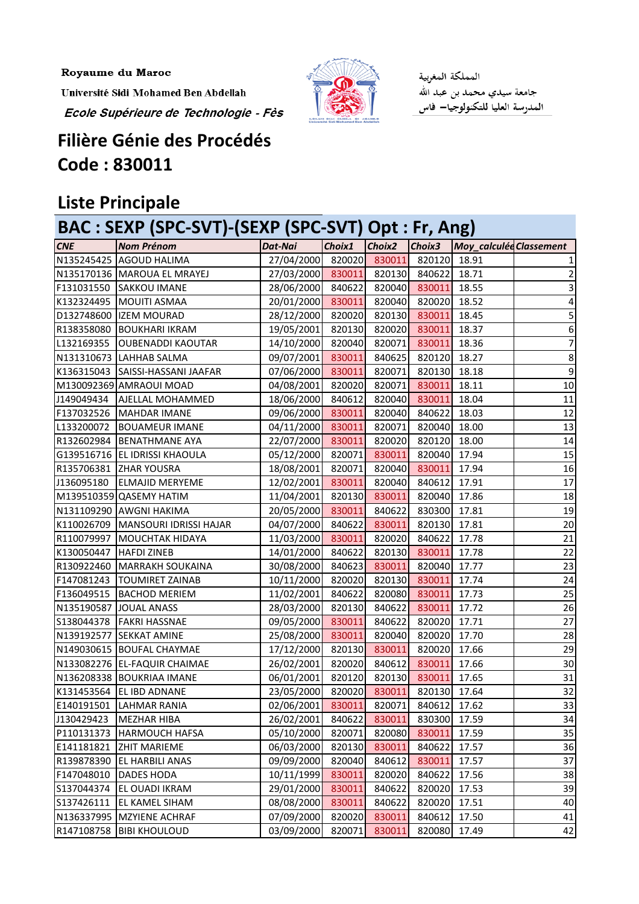Royaume du Maroc

Université Sidi Mohamed Ben Abdellah



المملكة المغربية جامعة سيدي محمد بن عبد الله المدرسة العليا للتكنولوجيا— فاس

## **Filière Génie des Procédés Code : 830011**

Ecole Supérieure de Technologie - Fès

## **Liste Principale**

| BAC : SEXP (SPC-SVT)-(SEXP (SPC-SVT) Opt : Fr, Ang) |                                     |            |        |        |        |                         |                  |
|-----------------------------------------------------|-------------------------------------|------------|--------|--------|--------|-------------------------|------------------|
| <b>CNE</b>                                          | <b>Nom Prénom</b>                   | Dat-Nai    | Choix1 | Choix2 | Choix3 | Moy_calculée Classement |                  |
|                                                     | N135245425 AGOUD HALIMA             | 27/04/2000 | 820020 | 830011 | 820120 | 18.91                   | 1                |
|                                                     | N135170136   MAROUA EL MRAYEJ       | 27/03/2000 | 830011 | 820130 | 840622 | 18.71                   | $\overline{2}$   |
| F131031550                                          | <b>SAKKOU IMANE</b>                 | 28/06/2000 | 840622 | 820040 | 830011 | 18.55                   | 3                |
| K132324495                                          | MOUITI ASMAA                        | 20/01/2000 | 830011 | 820040 | 820020 | 18.52                   | 4                |
|                                                     | D132748600  IZEM MOURAD             | 28/12/2000 | 820020 | 820130 | 830011 | 18.45                   | 5                |
| R138358080                                          | <b>BOUKHARI IKRAM</b>               | 19/05/2001 | 820130 | 820020 | 830011 | 18.37                   | 6                |
| L132169355                                          | <b>OUBENADDI KAOUTAR</b>            | 14/10/2000 | 820040 | 820071 | 830011 | 18.36                   | $\overline{7}$   |
| N131310673                                          | <b>LAHHAB SALMA</b>                 | 09/07/2001 | 830011 | 840625 | 820120 | 18.27                   | $\bf 8$          |
|                                                     | K136315043 SAISSI-HASSANI JAAFAR    | 07/06/2000 | 830011 | 820071 | 820130 | 18.18                   | $\boldsymbol{9}$ |
|                                                     | M130092369 AMRAOUI MOAD             | 04/08/2001 | 820020 | 820071 | 830011 | 18.11                   | 10               |
| J149049434                                          | <b>AJELLAL MOHAMMED</b>             | 18/06/2000 | 840612 | 820040 | 830011 | 18.04                   | 11               |
|                                                     | F137032526   MAHDAR IMANE           | 09/06/2000 | 830011 | 820040 | 840622 | 18.03                   | 12               |
| L133200072                                          | <b>BOUAMEUR IMANE</b>               | 04/11/2000 | 830011 | 820071 | 820040 | 18.00                   | 13               |
| R132602984                                          | <b>BENATHMANE AYA</b>               | 22/07/2000 | 830011 | 820020 | 820120 | 18.00                   | 14               |
|                                                     | G139516716 EL IDRISSI KHAOULA       | 05/12/2000 | 820071 | 830011 | 820040 | 17.94                   | 15               |
|                                                     | R135706381 ZHAR YOUSRA              | 18/08/2001 | 820071 | 820040 | 830011 | 17.94                   | 16               |
| J136095180                                          | <b>ELMAJID MERYEME</b>              | 12/02/2001 | 830011 | 820040 | 840612 | 17.91                   | 17               |
|                                                     | M139510359 QASEMY HATIM             | 11/04/2001 | 820130 | 830011 | 820040 | 17.86                   | 18               |
|                                                     | N131109290 AWGNI HAKIMA             | 20/05/2000 | 830011 | 840622 | 830300 | 17.81                   | 19               |
|                                                     | K110026709   MANSOURI IDRISSI HAJAR | 04/07/2000 | 840622 | 830011 | 820130 | 17.81                   | 20               |
|                                                     | R110079997 MOUCHTAK HIDAYA          | 11/03/2000 | 830011 | 820020 | 840622 | 17.78                   | 21               |
| K130050447                                          | <b>HAFDI ZINEB</b>                  | 14/01/2000 | 840622 | 820130 | 830011 | 17.78                   | 22               |
|                                                     | R130922460 MARRAKH SOUKAINA         | 30/08/2000 | 840623 | 830011 | 820040 | 17.77                   | 23               |
| F147081243                                          | <b>TOUMIRET ZAINAB</b>              | 10/11/2000 | 820020 | 820130 | 830011 | 17.74                   | 24               |
| F136049515                                          | <b>BACHOD MERIEM</b>                | 11/02/2001 | 840622 | 820080 | 830011 | 17.73                   | 25               |
|                                                     | N135190587 JOUAL ANASS              | 28/03/2000 | 820130 | 840622 | 830011 | 17.72                   | 26               |
| S138044378                                          | <b>FAKRI HASSNAE</b>                | 09/05/2000 | 830011 | 840622 | 820020 | 17.71                   | 27               |
|                                                     | N139192577 SEKKAT AMINE             | 25/08/2000 | 830011 | 820040 | 820020 | 17.70                   | 28               |
|                                                     | N149030615 BOUFAL CHAYMAE           | 17/12/2000 | 820130 | 830011 | 820020 | 17.66                   | 29               |
|                                                     | N133082276 EL-FAQUIR CHAIMAE        | 26/02/2001 | 820020 | 840612 | 830011 | 17.66                   | 30               |
|                                                     | N136208338 BOUKRIAA IMANE           | 06/01/2001 | 820120 | 820130 | 830011 | 17.65                   | 31               |
| K131453564                                          | <b>EL IBD ADNANE</b>                | 23/05/2000 | 820020 | 830011 | 820130 | 17.64                   | 32               |
| E140191501                                          | <b>LAHMAR RANIA</b>                 | 02/06/2001 | 830011 | 820071 | 840612 | 17.62                   | 33               |
| J130429423                                          | <b>MEZHAR HIBA</b>                  | 26/02/2001 | 840622 | 830011 | 830300 | 17.59                   | 34               |
| P110131373                                          | <b>HARMOUCH HAFSA</b>               | 05/10/2000 | 820071 | 820080 | 830011 | 17.59                   | 35               |
| E141181821                                          | <b>ZHIT MARIEME</b>                 | 06/03/2000 | 820130 | 830011 | 840622 | 17.57                   | 36               |
| R139878390                                          | EL HARBILI ANAS                     | 09/09/2000 | 820040 | 840612 | 830011 | 17.57                   | 37               |
| F147048010                                          | DADES HODA                          | 10/11/1999 | 830011 | 820020 | 840622 | 17.56                   | 38               |
| S137044374                                          | EL OUADI IKRAM                      | 29/01/2000 | 830011 | 840622 | 820020 | 17.53                   | 39               |
| S137426111                                          | <b>EL KAMEL SIHAM</b>               | 08/08/2000 | 830011 | 840622 | 820020 | 17.51                   | 40               |
| N136337995                                          | <b>MZYIENE ACHRAF</b>               | 07/09/2000 | 820020 | 830011 | 840612 | 17.50                   | 41               |
| R147108758                                          | <b>BIBI KHOULOUD</b>                | 03/09/2000 | 820071 | 830011 | 820080 | 17.49                   | 42               |